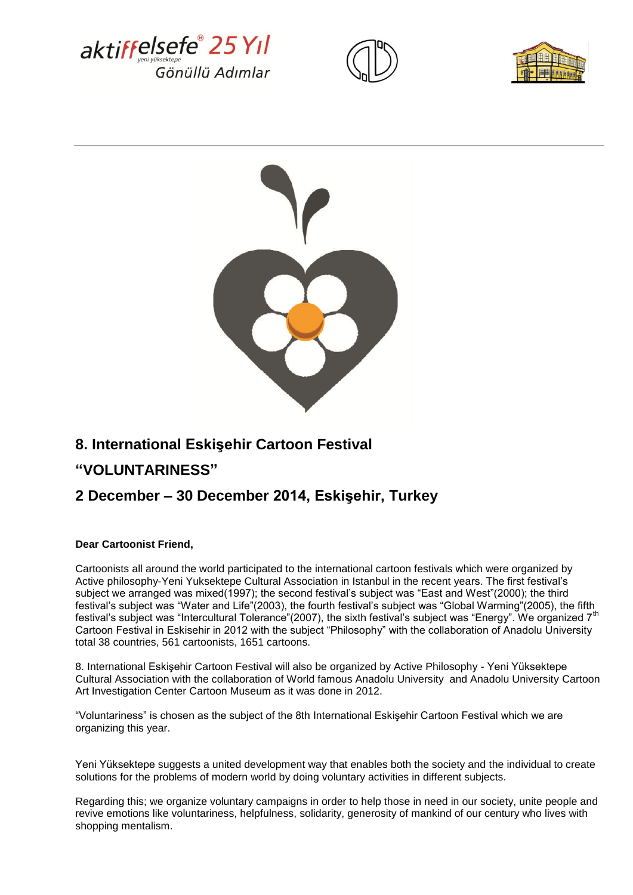







# **8. International Eskişehir Cartoon Festival**

# **"VOLUNTARINESS"**

# **2 December – 30 December 2014, Eskişehir, Turkey**

# **Dear Cartoonist Friend,**

Cartoonists all around the world participated to the international cartoon festivals which were organized by Active philosophy-Yeni Yuksektepe Cultural Association in Istanbul in the recent years. The first festival's subject we arranged was mixed(1997); the second festival's subject was "East and West"(2000); the third festival's subject was "Water and Life"(2003), the fourth festival's subject was "Global Warming"(2005), the fifth festival's subject was "Intercultural Tolerance"(2007), the sixth festival's subject was "Energy". We organized  $7<sup>th</sup>$ Cartoon Festival in Eskisehir in 2012 with the subject "Philosophy" with the collaboration of Anadolu University total 38 countries, 561 cartoonists, 1651 cartoons.

8. International Eskişehir Cartoon Festival will also be organized by Active Philosophy - Yeni Yüksektepe Cultural Association with the collaboration of World famous Anadolu University and Anadolu University Cartoon Art Investigation Center Cartoon Museum as it was done in 2012.

"Voluntariness" is chosen as the subject of the 8th International Eskişehir Cartoon Festival which we are organizing this year.

Yeni Yüksektepe suggests a united development way that enables both the society and the individual to create solutions for the problems of modern world by doing voluntary activities in different subjects.

Regarding this; we organize voluntary campaigns in order to help those in need in our society, unite people and revive emotions like voluntariness, helpfulness, solidarity, generosity of mankind of our century who lives with shopping mentalism.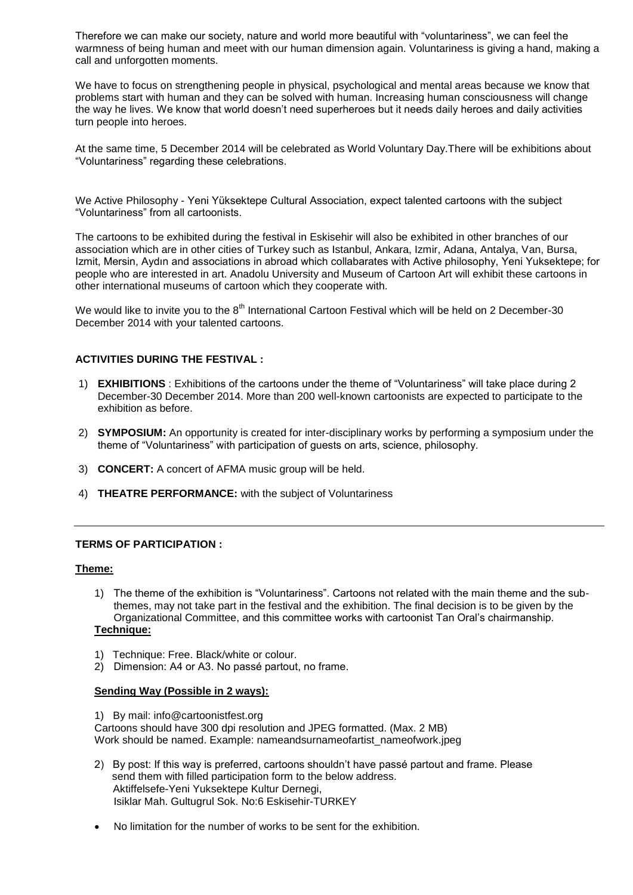Therefore we can make our society, nature and world more beautiful with "voluntariness", we can feel the warmness of being human and meet with our human dimension again. Voluntariness is giving a hand, making a call and unforgotten moments.

We have to focus on strengthening people in physical, psychological and mental areas because we know that problems start with human and they can be solved with human. Increasing human consciousness will change the way he lives. We know that world doesn't need superheroes but it needs daily heroes and daily activities turn people into heroes.

At the same time, 5 December 2014 will be celebrated as World Voluntary Day.There will be exhibitions about "Voluntariness" regarding these celebrations.

We Active Philosophy - Yeni Yüksektepe Cultural Association, expect talented cartoons with the subject "Voluntariness" from all cartoonists.

The cartoons to be exhibited during the festival in Eskisehir will also be exhibited in other branches of our association which are in other cities of Turkey such as Istanbul, Ankara, Izmir, Adana, Antalya, Van, Bursa, Izmit, Mersin, Aydın and associations in abroad which collabarates with Active philosophy, Yeni Yuksektepe; for people who are interested in art. Anadolu University and Museum of Cartoon Art will exhibit these cartoons in other international museums of cartoon which they cooperate with.

We would like to invite you to the 8<sup>th</sup> International Cartoon Festival which will be held on 2 December-30 December 2014 with your talented cartoons.

# **ACTIVITIES DURING THE FESTIVAL :**

- 1) **EXHIBITIONS** : Exhibitions of the cartoons under the theme of "Voluntariness" will take place during 2 December-30 December 2014. More than 200 well-known cartoonists are expected to participate to the exhibition as before.
- 2) **SYMPOSIUM:** An opportunity is created for inter-disciplinary works by performing a symposium under the theme of "Voluntariness" with participation of guests on arts, science, philosophy.
- 3) **CONCERT:** A concert of AFMA music group will be held.
- 4) **THEATRE PERFORMANCE:** with the subject of Voluntariness

# **TERMS OF PARTICIPATION :**

### **Theme:**

1) The theme of the exhibition is "Voluntariness". Cartoons not related with the main theme and the subthemes, may not take part in the festival and the exhibition. The final decision is to be given by the Organizational Committee, and this committee works with cartoonist Tan Oral's chairmanship. **Technique:**

- 1) Technique: Free. Black/white or colour.
- 2) Dimension: A4 or A3. No passé partout, no frame.

### **Sending Way (Possible in 2 ways):**

- 1) By mail: info@cartoonistfest.org Cartoons should have 300 dpi resolution and JPEG formatted. (Max. 2 MB) Work should be named. Example: nameandsurnameofartist\_nameofwork.jpeg
- 2) By post: If this way is preferred, cartoons shouldn't have passé partout and frame. Please send them with filled participation form to the below address. Aktiffelsefe-Yeni Yuksektepe Kultur Dernegi, Isiklar Mah. Gultugrul Sok. No:6 Eskisehir-TURKEY
- No limitation for the number of works to be sent for the exhibition.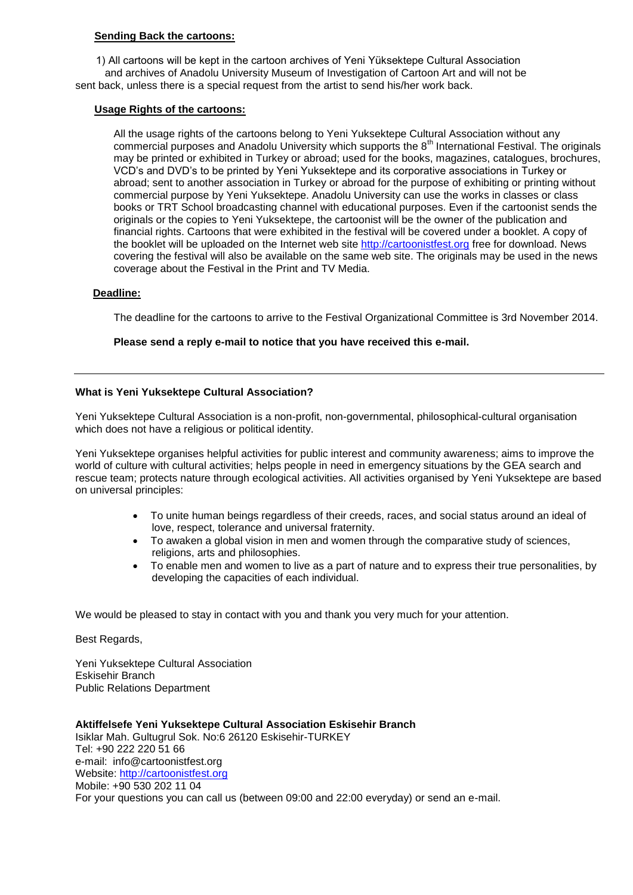# **Sending Back the cartoons:**

 1) All cartoons will be kept in the cartoon archives of Yeni Yüksektepe Cultural Association and archives of Anadolu University Museum of Investigation of Cartoon Art and will not be sent back, unless there is a special request from the artist to send his/her work back.

# **Usage Rights of the cartoons:**

All the usage rights of the cartoons belong to Yeni Yuksektepe Cultural Association without any commercial purposes and Anadolu University which supports the 8<sup>th</sup> International Festival. The originals may be printed or exhibited in Turkey or abroad; used for the books, magazines, catalogues, brochures, VCD's and DVD's to be printed by Yeni Yuksektepe and its corporative associations in Turkey or abroad; sent to another association in Turkey or abroad for the purpose of exhibiting or printing without commercial purpose by Yeni Yuksektepe. Anadolu University can use the works in classes or class books or TRT School broadcasting channel with educational purposes. Even if the cartoonist sends the originals or the copies to Yeni Yuksektepe, the cartoonist will be the owner of the publication and financial rights. Cartoons that were exhibited in the festival will be covered under a booklet. A copy of the booklet will be uploaded on the Internet web site [http://cartoonistfest.org](http://cartoonistfest.org/upload/main.asp) free for download. News covering the festival will also be available on the same web site. The originals may be used in the news coverage about the Festival in the Print and TV Media.

# **Deadline:**

The deadline for the cartoons to arrive to the Festival Organizational Committee is 3rd November 2014.

# **Please send a reply e-mail to notice that you have received this e-mail.**

# **What is Yeni Yuksektepe Cultural Association?**

Yeni Yuksektepe Cultural Association is a non-profit, non-governmental, philosophical-cultural organisation which does not have a religious or political identity.

Yeni Yuksektepe organises helpful activities for public interest and community awareness; aims to improve the world of culture with cultural activities; helps people in need in emergency situations by the GEA search and rescue team; protects nature through ecological activities. All activities organised by Yeni Yuksektepe are based on universal principles:

- To unite human beings regardless of their creeds, races, and social status around an ideal of love, respect, tolerance and universal fraternity.
- To awaken a global vision in men and women through the comparative study of sciences, religions, arts and philosophies.
- To enable men and women to live as a part of nature and to express their true personalities, by developing the capacities of each individual.

We would be pleased to stay in contact with you and thank you very much for your attention.

Best Regards,

Yeni Yuksektepe Cultural Association Eskisehir Branch Public Relations Department

**Aktiffelsefe Yeni Yuksektepe Cultural Association Eskisehir Branch** Isiklar Mah. Gultugrul Sok. No:6 26120 Eskisehir-TURKEY Tel: +90 222 220 51 66 e-mail: info@cartoonistfest.org Website: [http://cartoonistfest.org](http://cartoonistfest.org/upload/main.asp) Mobile: +90 530 202 11 04 For your questions you can call us (between 09:00 and 22:00 everyday) or send an e-mail.